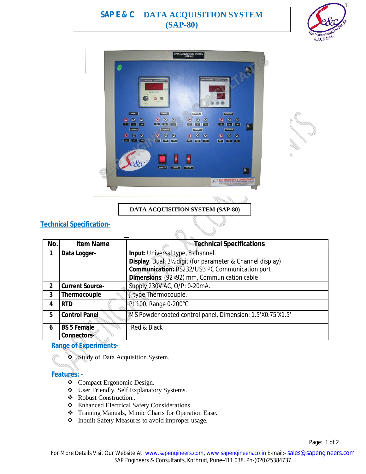# **SAP E & C DATA ACQUISITION SYSTEM (SAP-80)**





**DATA ACQUISITION SYSTEM (SAP-80)**

## **Technical Specification-**

| No.           | <b>Item Name</b>       | <b>Technical Specifications</b>                            |
|---------------|------------------------|------------------------------------------------------------|
| 1             | Data Logger-           | Input: Universal type, 8 channel.                          |
|               |                        | Display: Dual, 3½ digit (for parameter & Channel display)  |
|               |                        | Communication: RS232/USB PC Communication port             |
|               |                        | Dimensions: (92×92) mm, Communication cable                |
| $\mathfrak z$ | <b>Current Source-</b> | Supply 230V AC, O/P: 0-20mA.                               |
| 3             | Thermocouple           | J-type Thermocouple.                                       |
|               | <b>RTD</b>             | Pt 100. Range 0-200°C                                      |
| 5             | <b>Control Panel</b>   | MS Powder coated control panel, Dimension: 1.5'X0.75'X1.5' |
| 6             | <b>BS 5 Female</b>     | Red & Black                                                |
|               | <b>Connectors-</b>     |                                                            |

## **Range of Experiments-**

Study of Data Acquisition System.

#### **Features: -**

- Compact Ergonomic Design.
- User Friendly, Self Explanatory Systems.
- Robust Construction..
- Enhanced Electrical Safety Considerations.
- Training Manuals, Mimic Charts for Operation Ease.
- $\triangleleft$  Inbuilt Safety Measures to avoid improper usage.

Page: 1 of 2